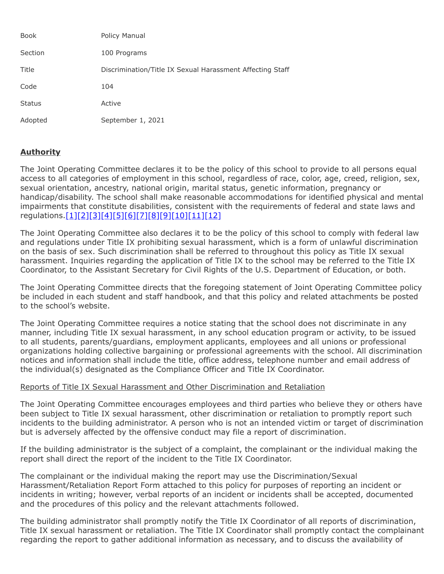| <b>Book</b>   | Policy Manual                                             |
|---------------|-----------------------------------------------------------|
| Section       | 100 Programs                                              |
| Title         | Discrimination/Title IX Sexual Harassment Affecting Staff |
| Code          | 104                                                       |
| <b>Status</b> | Active                                                    |
| Adopted       | September 1, 2021                                         |

# **Authority**

The Joint Operating Committee declares it to be the policy of this school to provide to all persons equal access to all categories of employment in this school, regardless of race, color, age, creed, religion, sex, sexual orientation, ancestry, national origin, marital status, genetic information, pregnancy or handicap/disability. The school shall make reasonable accommodations for identified physical and mental impairments that constitute disabilities, consistent with the requirements of federal and state laws and regulations[.\[1\]](http://www.legis.state.pa.us/cfdocs/legis/LI/uconsCheck.cfm?txtType=HTM&yr=1959&sessInd=0&smthLwInd=0&act=694&chpt=0&sctn=3&subsctn=0)[\[2\]](http://www.legis.state.pa.us/cfdocs/Legis/LI/uconsCheck.cfm?txtType=HTM&yr=1955&sessInd=0&smthLwInd=0&act=0222.)[\[3\]](http://www.law.cornell.edu/cfr/text/34/part-106)[\[4\]](http://www.law.cornell.edu/uscode/text/20/chapter-38)[\[5\]](http://www.law.cornell.edu/uscode/text/29/206)[\[6\]](http://www.law.cornell.edu/uscode/text/29/chapter-14)[\[7\]](http://www.law.cornell.edu/uscode/text/29/794)[\[8\]](http://www.law.cornell.edu/uscode/text/42/chapter-21/subchapter-I)[\[9\]](http://www.law.cornell.edu/uscode/text/42/chapter-21/subchapter-VI)[\[10\]](http://www.law.cornell.edu/uscode/text/42/chapter-21F)[\[11\]](http://www.law.cornell.edu/uscode/text/42/chapter-126)[\[12\]](https://www.law.cornell.edu/constitution/amendmentxiv)

The Joint Operating Committee also declares it to be the policy of this school to comply with federal law and regulations under Title IX prohibiting sexual harassment, which is a form of unlawful discrimination on the basis of sex. Such discrimination shall be referred to throughout this policy as Title IX sexual harassment. Inquiries regarding the application of Title IX to the school may be referred to the Title IX Coordinator, to the Assistant Secretary for Civil Rights of the U.S. Department of Education, or both.

The Joint Operating Committee directs that the foregoing statement of Joint Operating Committee policy be included in each student and staff handbook, and that this policy and related attachments be posted to the school's website.

The Joint Operating Committee requires a notice stating that the school does not discriminate in any manner, including Title IX sexual harassment, in any school education program or activity, to be issued to all students, parents/guardians, employment applicants, employees and all unions or professional organizations holding collective bargaining or professional agreements with the school. All discrimination notices and information shall include the title, office address, telephone number and email address of the individual(s) designated as the Compliance Officer and Title IX Coordinator.

# Reports of Title IX Sexual Harassment and Other Discrimination and Retaliation

The Joint Operating Committee encourages employees and third parties who believe they or others have been subject to Title IX sexual harassment, other discrimination or retaliation to promptly report such incidents to the building administrator. A person who is not an intended victim or target of discrimination but is adversely affected by the offensive conduct may file a report of discrimination.

If the building administrator is the subject of a complaint, the complainant or the individual making the report shall direct the report of the incident to the Title IX Coordinator.

The complainant or the individual making the report may use the Discrimination/Sexual Harassment/Retaliation Report Form attached to this policy for purposes of reporting an incident or incidents in writing; however, verbal reports of an incident or incidents shall be accepted, documented and the procedures of this policy and the relevant attachments followed.

The building administrator shall promptly notify the Title IX Coordinator of all reports of discrimination, Title IX sexual harassment or retaliation. The Title IX Coordinator shall promptly contact the complainant regarding the report to gather additional information as necessary, and to discuss the availability of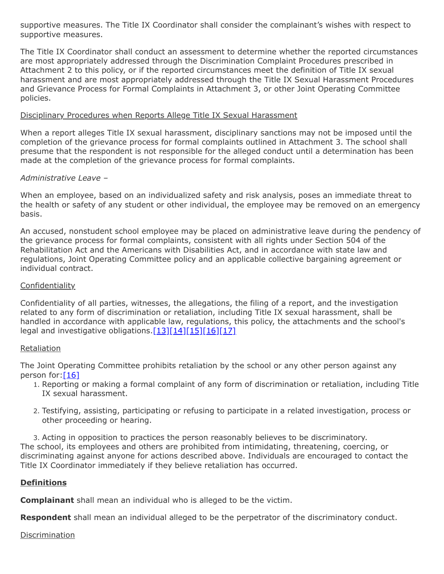supportive measures. The Title IX Coordinator shall consider the complainant's wishes with respect to supportive measures.

The Title IX Coordinator shall conduct an assessment to determine whether the reported circumstances are most appropriately addressed through the Discrimination Complaint Procedures prescribed in Attachment 2 to this policy, or if the reported circumstances meet the definition of Title IX sexual harassment and are most appropriately addressed through the Title IX Sexual Harassment Procedures and Grievance Process for Formal Complaints in Attachment 3, or other Joint Operating Committee policies.

# Disciplinary Procedures when Reports Allege Title IX Sexual Harassment

When a report alleges Title IX sexual harassment, disciplinary sanctions may not be imposed until the completion of the grievance process for formal complaints outlined in Attachment 3. The school shall presume that the respondent is not responsible for the alleged conduct until a determination has been made at the completion of the grievance process for formal complaints.

# *Administrative Leave –*

When an employee, based on an individualized safety and risk analysis, poses an immediate threat to the health or safety of any student or other individual, the employee may be removed on an emergency basis.

An accused, nonstudent school employee may be placed on administrative leave during the pendency of the grievance process for formal complaints, consistent with all rights under Section 504 of the Rehabilitation Act and the Americans with Disabilities Act, and in accordance with state law and regulations, Joint Operating Committee policy and an applicable collective bargaining agreement or individual contract.

## **Confidentiality**

Confidentiality of all parties, witnesses, the allegations, the filing of a report, and the investigation related to any form of discrimination or retaliation, including Title IX sexual harassment, shall be handled in accordance with applicable law, regulations, this policy, the attachments and the school's legal and investigative obligations. $[13][14][15][16][17]$  $[13][14][15][16][17]$  $[13][14][15][16][17]$ 

### **Retaliation**

The Joint Operating Committee prohibits retaliation by the school or any other person against any person for: $[16]$ 

- 1. Reporting or making a formal complaint of any form of discrimination or retaliation, including Title IX sexual harassment.
- 2. Testifying, assisting, participating or refusing to participate in a related investigation, process or other proceeding or hearing.

3. Acting in opposition to practices the person reasonably believes to be discriminatory. The school, its employees and others are prohibited from intimidating, threatening, coercing, or discriminating against anyone for actions described above. Individuals are encouraged to contact the Title IX Coordinator immediately if they believe retaliation has occurred.

# **Definitions**

**Complainant** shall mean an individual who is alleged to be the victim.

**Respondent** shall mean an individual alleged to be the perpetrator of the discriminatory conduct.

# Discrimination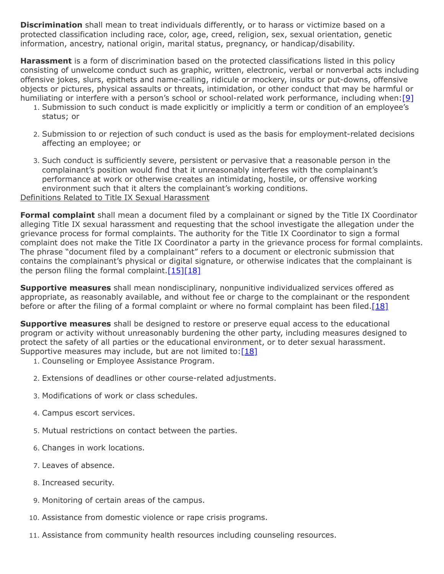**Discrimination** shall mean to treat individuals differently, or to harass or victimize based on a protected classification including race, color, age, creed, religion, sex, sexual orientation, genetic information, ancestry, national origin, marital status, pregnancy, or handicap/disability.

**Harassment** is a form of discrimination based on the protected classifications listed in this policy consisting of unwelcome conduct such as graphic, written, electronic, verbal or nonverbal acts including offensive jokes, slurs, epithets and name-calling, ridicule or mockery, insults or put-downs, offensive objects or pictures, physical assaults or threats, intimidation, or other conduct that may be harmful or humiliating or interfere with a person's school or school-related work performance, including when:[\[9\]](http://www.law.cornell.edu/uscode/text/42/chapter-21/subchapter-VI)

- 1. Submission to such conduct is made explicitly or implicitly a term or condition of an employee's status; or
- 2. Submission to or rejection of such conduct is used as the basis for employment-related decisions affecting an employee; or
- 3. Such conduct is sufficiently severe, persistent or pervasive that a reasonable person in the complainant's position would find that it unreasonably interferes with the complainant's performance at work or otherwise creates an intimidating, hostile, or offensive working environment such that it alters the complainant's working conditions. Definitions Related to Title IX Sexual Harassment

**Formal complaint** shall mean a document filed by a complainant or signed by the Title IX Coordinator alleging Title IX sexual harassment and requesting that the school investigate the allegation under the grievance process for formal complaints. The authority for the Title IX Coordinator to sign a formal complaint does not make the Title IX Coordinator a party in the grievance process for formal complaints. The phrase "document filed by a complainant" refers to a document or electronic submission that contains the complainant's physical or digital signature, or otherwise indicates that the complainant is the person filing the formal complaint. $[15][18]$ 

**Supportive measures** shall mean nondisciplinary, nonpunitive individualized services offered as appropriate, as reasonably available, and without fee or charge to the complainant or the respondent before or after the filing of a formal complaint or where no formal complaint has been filed. $[18]$ 

**Supportive measures** shall be designed to restore or preserve equal access to the educational program or activity without unreasonably burdening the other party, including measures designed to protect the safety of all parties or the educational environment, or to deter sexual harassment. Supportive measures may include, but are not limited to:  $[18]$ 

- 1. Counseling or Employee Assistance Program.
- 2. Extensions of deadlines or other course-related adjustments.
- 3. Modifications of work or class schedules.
- 4. Campus escort services.
- 5. Mutual restrictions on contact between the parties.
- 6. Changes in work locations.
- 7. Leaves of absence.
- 8. Increased security.
- 9. Monitoring of certain areas of the campus.
- 10. Assistance from domestic violence or rape crisis programs.
- 11. Assistance from community health resources including counseling resources.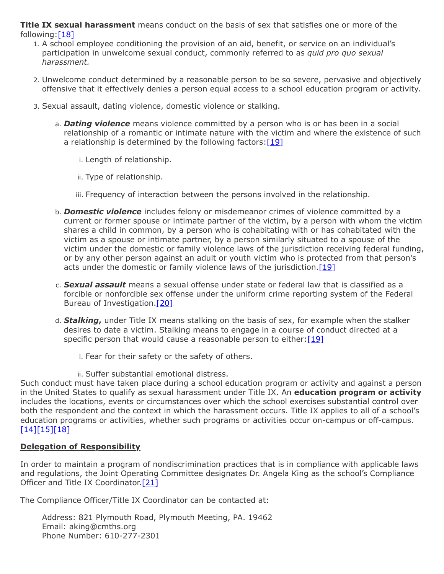**Title IX sexual harassment** means conduct on the basis of sex that satisfies one or more of the following:[\[18\]](https://www.govinfo.gov/content/pkg/FR-2020-05-19/pdf/2020-10512.pdf)

- 1. A school employee conditioning the provision of an aid, benefit, or service on an individual's participation in unwelcome sexual conduct, commonly referred to as *quid pro quo sexual harassment.*
- 2. Unwelcome conduct determined by a reasonable person to be so severe, pervasive and objectively offensive that it effectively denies a person equal access to a school education program or activity.
- 3. Sexual assault, dating violence, domestic violence or stalking.
	- a. *Dating violence* means violence committed by a person who is or has been in a social relationship of a romantic or intimate nature with the victim and where the existence of such a relationship is determined by the following factors:  $[19]$ 
		- i. Length of relationship.
		- ii. Type of relationship.
		- iii. Frequency of interaction between the persons involved in the relationship.
	- b. *Domestic violence* includes felony or misdemeanor crimes of violence committed by a current or former spouse or intimate partner of the victim, by a person with whom the victim shares a child in common, by a person who is cohabitating with or has cohabitated with the victim as a spouse or intimate partner, by a person similarly situated to a spouse of the victim under the domestic or family violence laws of the jurisdiction receiving federal funding, or by any other person against an adult or youth victim who is protected from that person's acts under the domestic or family violence laws of the jurisdiction.<sup>[\[19\]](https://www.law.cornell.edu/uscode/text/34/12291)</sup>
	- c. *Sexual assault* means a sexual offense under state or federal law that is classified as a forcible or nonforcible sex offense under the uniform crime reporting system of the Federal Bureau of Investigation.<sup>[\[20\]](https://www.law.cornell.edu/uscode/text/20/1092)</sup>
	- d. *Stalking***,** under Title IX means stalking on the basis of sex, for example when the stalker desires to date a victim. Stalking means to engage in a course of conduct directed at a specific person that would cause a reasonable person to either:  $[19]$ 
		- i. Fear for their safety or the safety of others.
		- ii. Suffer substantial emotional distress.

Such conduct must have taken place during a school education program or activity and against a person in the United States to qualify as sexual harassment under Title IX. An **education program or activity** includes the locations, events or circumstances over which the school exercises substantial control over both the respondent and the context in which the harassment occurs. Title IX applies to all of a school's education programs or activities, whether such programs or activities occur on-campus or off-campus. [\[14\]\[15\]\[18\]](https://www.govinfo.gov/content/pkg/FR-2020-05-19/pdf/2020-10512.pdf)

# **Delegation of Responsibility**

In order to maintain a program of nondiscrimination practices that is in compliance with applicable laws and regulations, the Joint Operating Committee designates Dr. Angela King as the school's Compliance Officer and Title IX Coordinator[.\[21\]](https://www.govinfo.gov/content/pkg/FR-2020-05-19/pdf/2020-10512.pdf)

The Compliance Officer/Title IX Coordinator can be contacted at:

Address: 821 Plymouth Road, Plymouth Meeting, PA. 19462 Email: aking@cmths.org Phone Number: 610-277-2301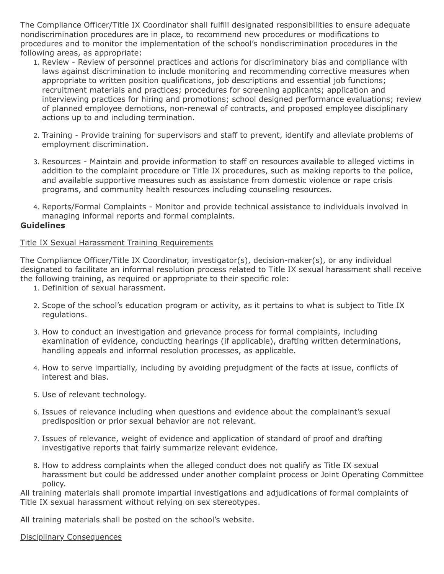The Compliance Officer/Title IX Coordinator shall fulfill designated responsibilities to ensure adequate nondiscrimination procedures are in place, to recommend new procedures or modifications to procedures and to monitor the implementation of the school's nondiscrimination procedures in the following areas, as appropriate:

- 1. Review Review of personnel practices and actions for discriminatory bias and compliance with laws against discrimination to include monitoring and recommending corrective measures when appropriate to written position qualifications, job descriptions and essential job functions; recruitment materials and practices; procedures for screening applicants; application and interviewing practices for hiring and promotions; school designed performance evaluations; review of planned employee demotions, non-renewal of contracts, and proposed employee disciplinary actions up to and including termination.
- 2. Training Provide training for supervisors and staff to prevent, identify and alleviate problems of employment discrimination.
- 3. Resources Maintain and provide information to staff on resources available to alleged victims in addition to the complaint procedure or Title IX procedures, such as making reports to the police, and available supportive measures such as assistance from domestic violence or rape crisis programs, and community health resources including counseling resources.
- 4. Reports/Formal Complaints Monitor and provide technical assistance to individuals involved in managing informal reports and formal complaints.

# **Guidelines**

### Title IX Sexual Harassment Training Requirements

The Compliance Officer/Title IX Coordinator, investigator(s), decision-maker(s), or any individual designated to facilitate an informal resolution process related to Title IX sexual harassment shall receive the following training, as required or appropriate to their specific role:

- 1. Definition of sexual harassment.
- 2. Scope of the school's education program or activity, as it pertains to what is subject to Title IX regulations.
- 3. How to conduct an investigation and grievance process for formal complaints, including examination of evidence, conducting hearings (if applicable), drafting written determinations, handling appeals and informal resolution processes, as applicable.
- 4. How to serve impartially, including by avoiding prejudgment of the facts at issue, conflicts of interest and bias.
- 5. Use of relevant technology.
- 6. Issues of relevance including when questions and evidence about the complainant's sexual predisposition or prior sexual behavior are not relevant.
- 7. Issues of relevance, weight of evidence and application of standard of proof and drafting investigative reports that fairly summarize relevant evidence.
- 8. How to address complaints when the alleged conduct does not qualify as Title IX sexual harassment but could be addressed under another complaint process or Joint Operating Committee policy.

All training materials shall promote impartial investigations and adjudications of formal complaints of Title IX sexual harassment without relying on sex stereotypes.

All training materials shall be posted on the school's website.

### Disciplinary Consequences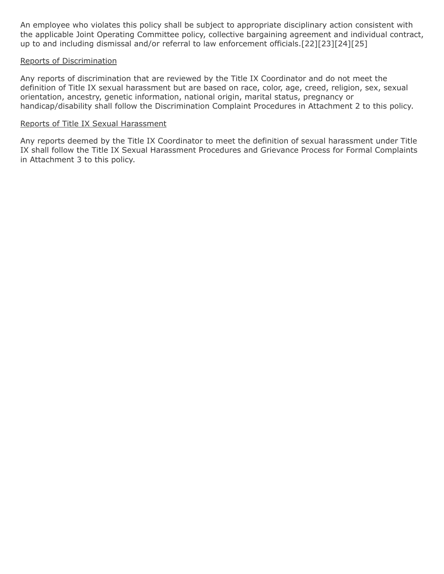An employee who violates this policy shall be subject to appropriate disciplinary action consistent with the applicable Joint Operating Committee policy, collective bargaining agreement and individual contract, up to and including dismissal and/or referral to law enforcement officials.[22][23][24][25]

### Reports of Discrimination

Any reports of discrimination that are reviewed by the Title IX Coordinator and do not meet the definition of Title IX sexual harassment but are based on race, color, age, creed, religion, sex, sexual orientation, ancestry, genetic information, national origin, marital status, pregnancy or handicap/disability shall follow the Discrimination Complaint Procedures in Attachment 2 to this policy.

#### Reports of Title IX Sexual Harassment

Any reports deemed by the Title IX Coordinator to meet the definition of sexual harassment under Title IX shall follow the Title IX Sexual Harassment Procedures and Grievance Process for Formal Complaints in Attachment 3 to this policy.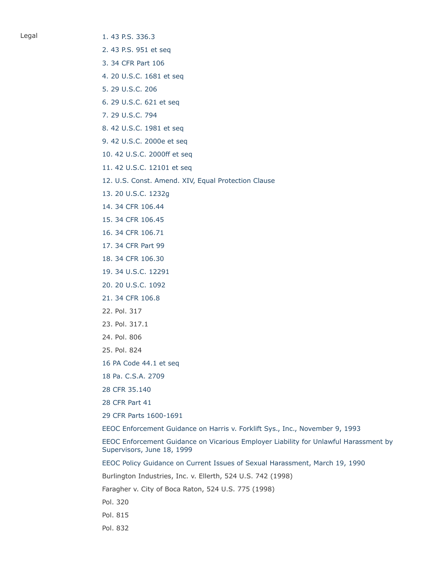Legal 1.43 P.S. 336.3

[2. 43 P.S. 951 et seq](http://www.legis.state.pa.us/cfdocs/Legis/LI/uconsCheck.cfm?txtType=HTM&yr=1955&sessInd=0&smthLwInd=0&act=0222.)

- [3. 34 CFR Part 106](http://www.law.cornell.edu/cfr/text/34/part-106)
- [4. 20 U.S.C. 1681 et seq](http://www.law.cornell.edu/uscode/text/20/chapter-38)
- [5. 29 U.S.C. 206](http://www.law.cornell.edu/uscode/text/29/206)
- [6. 29 U.S.C. 621 et seq](http://www.law.cornell.edu/uscode/text/29/chapter-14)
- [7. 29 U.S.C. 794](http://www.law.cornell.edu/uscode/text/29/794)
- [8. 42 U.S.C. 1981 et seq](http://www.law.cornell.edu/uscode/text/42/chapter-21/subchapter-I)
- [9. 42 U.S.C. 2000e et seq](http://www.law.cornell.edu/uscode/text/42/chapter-21/subchapter-VI)
- [10. 42 U.S.C. 2000ff et seq](http://www.law.cornell.edu/uscode/text/42/chapter-21F)
- [11. 42 U.S.C. 12101 et seq](http://www.law.cornell.edu/uscode/text/42/chapter-126)
- [12. U.S. Const. Amend. XIV, Equal Protection Clause](https://www.law.cornell.edu/constitution/amendmentxiv)
- [13. 20 U.S.C. 1232g](http://www.law.cornell.edu/uscode/text/20/1232g)
- [14. 34 CFR 106.44](https://www.govinfo.gov/content/pkg/FR-2020-05-19/pdf/2020-10512.pdf)
- [15. 34 CFR 106.45](https://www.govinfo.gov/content/pkg/FR-2020-05-19/pdf/2020-10512.pdf)
- [16. 34 CFR 106.71](https://www.govinfo.gov/content/pkg/FR-2020-05-19/pdf/2020-10512.pdf)
- [17. 34 CFR Part 99](http://www.law.cornell.edu/cfr/text/34/part-99)
- [18. 34 CFR 106.30](https://www.govinfo.gov/content/pkg/FR-2020-05-19/pdf/2020-10512.pdf)
- [19. 34 U.S.C. 12291](https://www.law.cornell.edu/uscode/text/34/12291)
- [20. 20 U.S.C. 1092](https://www.law.cornell.edu/uscode/text/20/1092)
- [21. 34 CFR 106.8](https://www.govinfo.gov/content/pkg/FR-2020-05-19/pdf/2020-10512.pdf)
- 22. Pol. 317
- 23. Pol. 317.1
- 24. Pol. 806
- 25. Pol. 824
- [16 PA Code 44.1 et seq](http://pacodeandbulletin.gov/Display/pacode?file=/secure/pacode/data/016/chapter44/chap44toc.html&d=)
- [18 Pa. C.S.A. 2709](http://www.legis.state.pa.us/cfdocs/legis/LI/consCheck.cfm?txtType=HTM&ttl=18&div=0&chpt=27&sctn=9&subsctn=0)
- [28 CFR 35.140](http://www.law.cornell.edu/cfr/text/28/35.140)
- [28 CFR Part 41](http://www.law.cornell.edu/cfr/text/28/part-41)
- [29 CFR Parts 1600-1691](http://www.law.cornell.edu/cfr/text/29/chapter-XIV)
- [EEOC Enforcement Guidance on Harris v. Forklift Sys., Inc., November 9, 1993](https://www.eeoc.gov/policy/docs/harris.html)

[EEOC Enforcement Guidance on Vicarious Employer Liability for Unlawful Harassment by](https://www.eeoc.gov/policy/docs/harassment.html) Supervisors, June 18, 1999

[EEOC Policy Guidance on Current Issues of Sexual Harassment, March 19, 1990](https://www.eeoc.gov/policy/docs/currentissues.html)

Burlington Industries, Inc. v. Ellerth, 524 U.S. 742 (1998)

Faragher v. City of Boca Raton, 524 U.S. 775 (1998)

Pol. 320

- Pol. 815
- Pol. 832